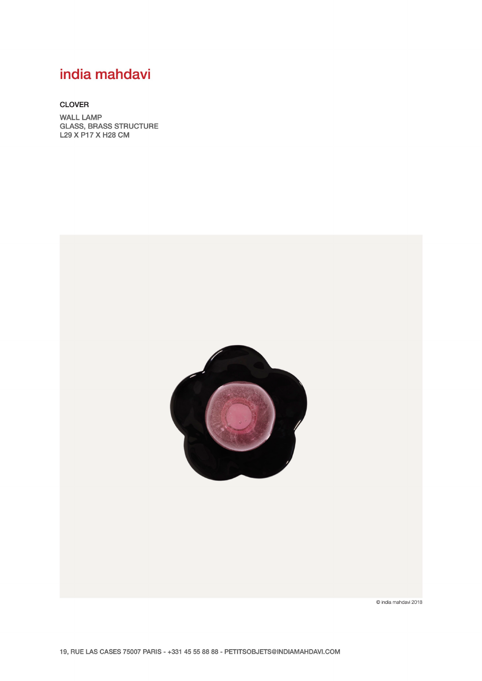# india mahdavi

#### **CLOVER**

**WALL LAMP GLASS, BRASS STRUCTURE** L29 X P17 X H28 CM



© india mahdavi 2018